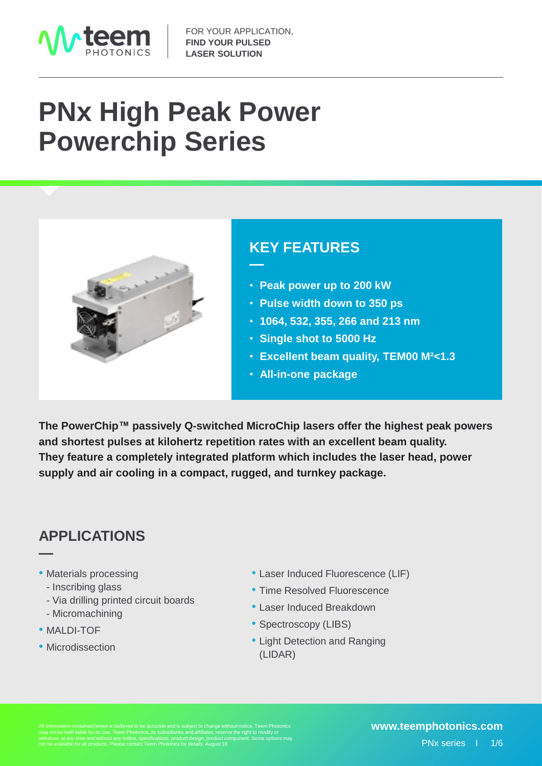

# **PNx High Peak Power Powerchip Series**



## **KEY FEATURES**

- **Peak power up to 200 kW**
- **Pulse width down to 350 ps**
- **1064, 532, 355, 266 and 213 nm**
- **Single shot to 5000 Hz**
- **Excellent beam quality, TEM00 M²<1.3**
- **All-in-one package**

**The PowerChip™ passively Q-switched MicroChip lasers offer the highest peak powers and shortest pulses at kilohertz repetition rates with an excellent beam quality. They feature a completely integrated platform which includes the laser head, power supply and air cooling in a compact, rugged, and turnkey package.**

**—**

## **APPLICATIONS**

- Materials processing
	- Inscribing glass
	- Via drilling printed circuit boards
	- Micromachining
- MALDI-TOF

**—**

• Microdissection

- Laser Induced Fluorescence (LIF)
- Time Resolved Fluorescence
- Laser Induced Breakdown
- Spectroscopy (LIBS)
- Light Detection and Ranging (LIDAR)

withdraw, at any time and without any notice, specifications, product design, product component. Some options may not be available for all products. Please contact Teem Photonics for details. August 18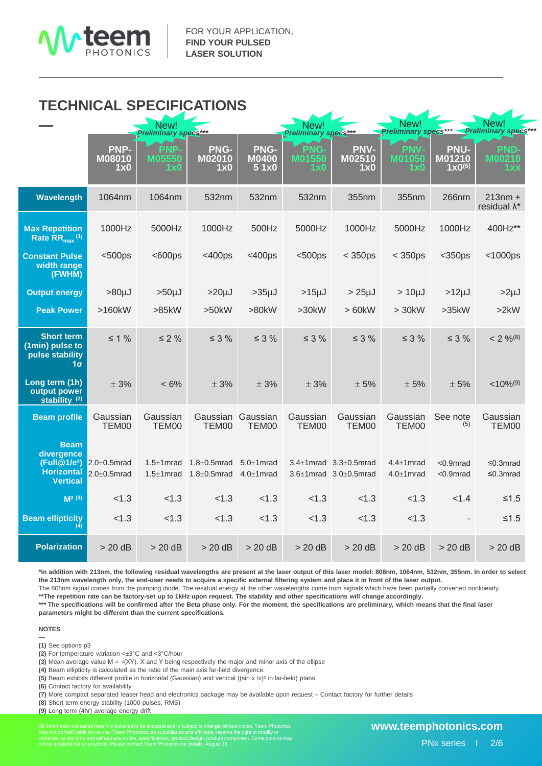

### **TECHNICAL SPECIFICATIONS**

|                                                                                               |                                          | New!<br><b>Preliminary specs***</b>  |                                          |                                      | New!<br>Preliminary specs*** |                                                                            | New!<br><b>Preliminary specs***</b>  |                                             | New!<br><b>Preliminary specs*</b> |  |
|-----------------------------------------------------------------------------------------------|------------------------------------------|--------------------------------------|------------------------------------------|--------------------------------------|------------------------------|----------------------------------------------------------------------------|--------------------------------------|---------------------------------------------|-----------------------------------|--|
|                                                                                               | PNP-<br><b>M08010</b><br>1x0             | PNP-<br><b>M05550</b><br>1x0         | <b>PNG-</b><br>M02010<br>1x0             | PNG-<br><b>M0400</b><br>51x0         | PNG-<br>M01550<br>1x0        | <b>PNV-</b><br>M02510<br>1x0                                               | <b>PNV-</b><br><b>M01050</b><br>1x0  | <b>PNU-</b><br>M01210<br>$1 \times 0^{(6)}$ | <b>PND-</b><br>M00210<br>1 x x    |  |
| Wavelength                                                                                    | 1064nm                                   | 1064nm                               | 532nm                                    | 532nm                                | 532nm                        | 355nm                                                                      | 355nm                                | 266nm                                       | $213nm +$<br>residual $\lambda^*$ |  |
| <b>Max Repetition</b><br>Rate $RR_{max}$ <sup>(1)</sup>                                       | 1000Hz                                   | 5000Hz                               | 1000Hz                                   | 500Hz                                | 5000Hz                       | 1000Hz                                                                     | 5000Hz                               | 1000Hz                                      | 400Hz**                           |  |
| <b>Constant Pulse</b><br>width range<br>(FWHM)                                                | $500ps$                                  | $600ps$                              | $<$ 400ps                                | $<$ 400ps                            | $500ps$                      | $<$ 350ps                                                                  | $<$ 350ps                            | $<$ 350ps                                   | $<$ 1000ps                        |  |
| <b>Output energy</b>                                                                          | $>80 \mu J$                              | $>50µ$ J                             | $>20 \mu J$                              | $>35µ$ J                             | $>15 \mu J$                  | $>25 \mu J$                                                                | $> 10 \mu J$                         | $>12 \mu J$                                 | $>2\mu$ J                         |  |
| <b>Peak Power</b>                                                                             | $>160kW$                                 | >85kW                                | >50kW                                    | >80kW                                | >30kW                        | > 60kW                                                                     | > 30kW                               | >35kW                                       | >2kW                              |  |
| <b>Short term</b><br>(1min) pulse to<br>pulse stability<br>1σ <sub>1</sub>                    | $\leq 1\%$                               | $\leq 2\%$                           | $\leq$ 3 %                               | $\leq$ 3 %                           | $\leq$ 3 %                   | $\leq$ 3 %                                                                 | $\leq$ 3 %                           | $\leq$ 3 %                                  | $< 2 \%^{(8)}$                    |  |
| Long term (1h)<br>output power<br>stability $(2)$                                             | ± 3%                                     | $< 6\%$                              | ± 3%                                     | ± 3%                                 | ± 3%                         | ± 5%                                                                       | ± 5%                                 | ± 5%                                        | $< 10\%$ <sup>(9)</sup>           |  |
| <b>Beam profile</b>                                                                           | Gaussian<br>TEM00                        | Gaussian<br>TEM00                    | Gaussian<br>TEM00                        | Gaussian<br>TEM00                    | Gaussian<br>TEM00            | Gaussian<br>TEM00                                                          | Gaussian<br>TEM00                    | See note<br>(5)                             | Gaussian<br>TEM00                 |  |
| <b>Beam</b><br>divergence<br>(Full@1/e <sup>2</sup> )<br><b>Horizontal</b><br><b>Vertical</b> | $2.0 \pm 0.5$ mrad<br>$2.0 \pm 0.5$ mrad | $1.5 \pm 1$ mrad<br>$1.5 \pm 1$ mrad | $1.8 \pm 0.5$ mrad<br>$1.8 \pm 0.5$ mrad | $5.0 \pm 1$ mrad<br>$4.0 \pm 1$ mrad |                              | $3.4 \pm 1$ mrad $3.3 \pm 0.5$ mrad<br>$3.6 \pm 1$ mrad $3.0 \pm 0.5$ mrad | $4.4 \pm 1$ mrad<br>$4.0 \pm 1$ mrad | $< 0.9$ mrad<br>$< 0.9$ mrad                | $\leq$ 0.3mrad<br>$\leq$ 0.3mrad  |  |
| $M2$ (3)                                                                                      | < 1.3                                    | < 1.3                                | < 1.3                                    | < 1.3                                | < 1.3                        | < 1.3                                                                      | < 1.3                                | < 1.4                                       | $≤1.5$                            |  |
| <b>Beam ellipticity</b><br>(4)                                                                | < 1.3                                    | < 1.3                                | < 1.3                                    | < 1.3                                | < 1.3                        | < 1.3                                                                      | < 1.3                                |                                             | $≤1.5$                            |  |
| <b>Polarization</b>                                                                           | $> 20$ dB                                | $> 20$ dB                            | $> 20$ dB                                | $> 20$ dB                            | $> 20$ dB                    | $> 20$ dB                                                                  | $> 20$ dB                            | $> 20$ dB                                   | $> 20$ dB                         |  |

**\*In addition with 213nm, the following residual wavelengths are present at the laser output of this laser model: 808nm, 1064nm, 532nm, 355nm. In order to select the 213nm wavelength only, the end-user needs to acquire a specific external filtering system and place it in front of the laser output.**

The 808nm signal comes from the pumping diode. The residual energy at the other wavelengths come from signals which have been partially converted nonlinearly. **\*\*The repetition rate can be factory-set up to 1kHz upon request. The stability and other specifications will change accordingly.**

**\*\*\* The specifications will be confirmed after the Beta phase only. For the moment, the specifications are preliminary, which means that the final laser parameters might be different than the current specifications.** 

**NOTES —**

**(1)** See options p3

**(2)** For temperature variation <±3°C and <3°C/hour

**(3)** Mean average value M =  $\sqrt{(XY)}$ , X and Y being respectively the major and minor axis of the ellipse

**(4)** Beam ellipticity is calculated as the ratio of the main axis far-field divergence.

**(5)** Beam exhibits different profile in horizontal (Gaussian) and vertical ((sin x /x)² in far-field) plans

**(6)** Contact factory for availability

**(7)** More compact separated leaser head and electronics package may be available upon request – Contact factory for further details

**(8)** Short term energy stability (1000 pulses, RMS)

**(9)** Long term (4hr) average energy drift

All information contained herein is believed to be accurate and is subject to change without notice. Teem Photonics<br>may not be held liable for its use. Teem Photonics, its subsidiaries and affiliates, reserve the right to

◢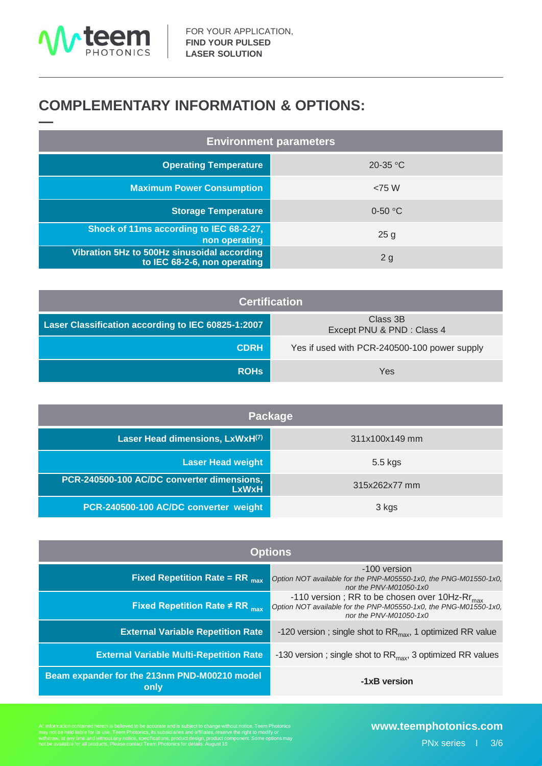

# **COMPLEMENTARY INFORMATION & OPTIONS:**

| <b>Environment parameters</b>                                               |           |  |  |  |
|-----------------------------------------------------------------------------|-----------|--|--|--|
| <b>Operating Temperature</b>                                                | 20-35 °C  |  |  |  |
| <b>Maximum Power Consumption</b>                                            | < 75 W    |  |  |  |
| <b>Storage Temperature</b>                                                  | $0-50$ °C |  |  |  |
| Shock of 11ms according to IEC 68-2-27,<br>non operating                    | 25g       |  |  |  |
| Vibration 5Hz to 500Hz sinusoidal according<br>to IEC 68-2-6, non operating | 2g        |  |  |  |

| <b>Certification</b>                               |                                              |  |  |  |
|----------------------------------------------------|----------------------------------------------|--|--|--|
| Laser Classification according to IEC 60825-1:2007 | Class 3B<br>Except PNU & PND : Class 4       |  |  |  |
| <b>CDRH</b>                                        | Yes if used with PCR-240500-100 power supply |  |  |  |
| <b>ROHs</b>                                        | Yes                                          |  |  |  |

| Package                                                    |                |  |  |
|------------------------------------------------------------|----------------|--|--|
| Laser Head dimensions, LxWxH(7)                            | 311x100x149 mm |  |  |
| <b>Laser Head weight</b>                                   | 5.5 kgs        |  |  |
| PCR-240500-100 AC/DC converter dimensions,<br><b>LxWxH</b> | 315x262x77 mm  |  |  |
| PCR-240500-100 AC/DC converter weight                      | 3 kgs          |  |  |

| <b>Options</b>                                                   |                                                                                                                                                          |  |  |
|------------------------------------------------------------------|----------------------------------------------------------------------------------------------------------------------------------------------------------|--|--|
| <b>Fixed Repetition Rate = RR</b> $_{max}$                       | -100 version<br>Option NOT available for the PNP-M05550-1x0, the PNG-M01550-1x0,<br>nor the PNV-M01050-1x0                                               |  |  |
| <b>Fixed Repetition Rate <math>\neq</math> RR</b> <sub>max</sub> | -110 version; RR to be chosen over 10Hz-R $r_{\text{max}}$<br>Option NOT available for the PNP-M05550-1x0, the PNG-M01550-1x0,<br>nor the PNV-M01050-1x0 |  |  |
| <b>External Variable Repetition Rate</b>                         | -120 version; single shot to $RR_{max}$ , 1 optimized RR value                                                                                           |  |  |
| <b>External Variable Multi-Repetition Rate</b>                   | -130 version; single shot to $RR_{max}$ , 3 optimized RR values                                                                                          |  |  |
| Beam expander for the 213nm PND-M00210 model<br>only             | -1xB version                                                                                                                                             |  |  |

All information contained herein is believed to be accurate and is subject to change without notice. Teem Photonics<br>may not be held liable for its use. Teem Photonics, its subsidiaries and affiliates, reserve the right to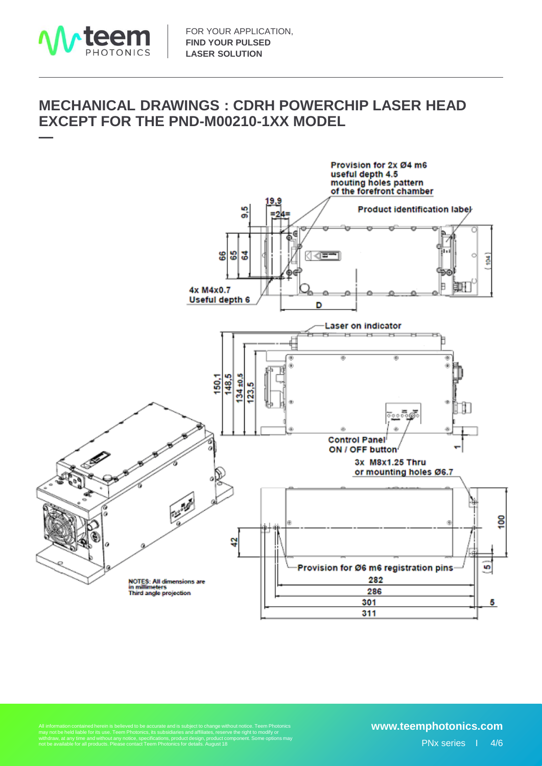

### **MECHANICAL DRAWINGS : CDRH POWERCHIP LASER HEAD EXCEPT FOR THE PND-M00210-1XX MODEL**



All information contained herein is believed to be accurate and is subject to change without notice. Teem Photonics<br>may not be held liable for its use. Teem Photonics, its subsidiaries and affiliates, reserve the right to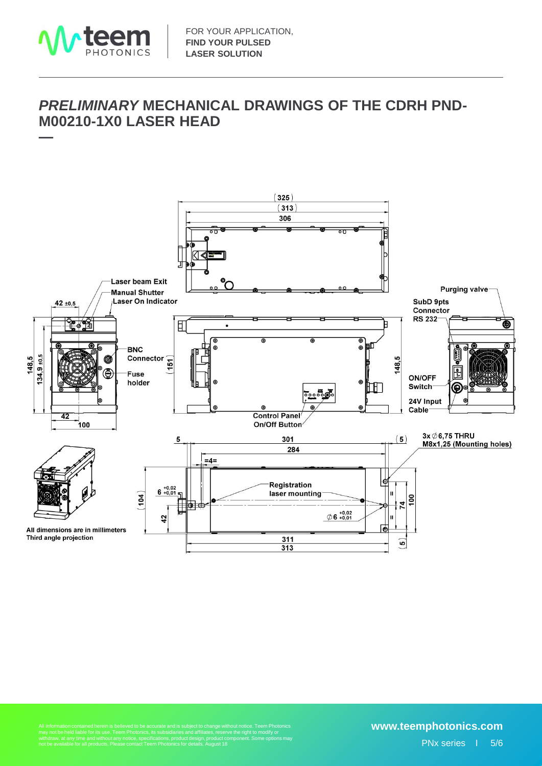

**—**

### *PRELIMINARY* **MECHANICAL DRAWINGS OF THE CDRH PND-M00210-1X0 LASER HEAD**



All information contained herein is believed to be accurate and is subject to change without notice. Teem Photonics<br>may not be held liable for its use. Teem Photonics, its subsidiaries and affiliates, reserve the right to

#### **www.teemphotonics.com** PNx series I 5/6